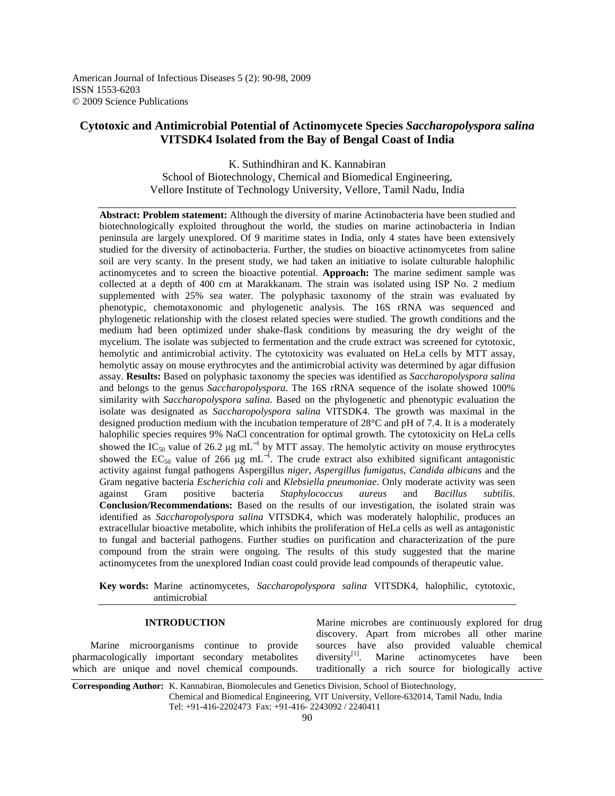American Journal of Infectious Diseases 5 (2): 90-98, 2009 ISSN 1553-6203 © 2009 Science Publications

# **Cytotoxic and Antimicrobial Potential of Actinomycete Species** *Saccharopolyspora salina*  **VITSDK4 Isolated from the Bay of Bengal Coast of India**

K. Suthindhiran and K. Kannabiran School of Biotechnology, Chemical and Biomedical Engineering, Vellore Institute of Technology University, Vellore, Tamil Nadu, India

**Abstract: Problem statement:** Although the diversity of marine Actinobacteria have been studied and biotechnologically exploited throughout the world, the studies on marine actinobacteria in Indian peninsula are largely unexplored. Of 9 maritime states in India, only 4 states have been extensively studied for the diversity of actinobacteria. Further, the studies on bioactive actinomycetes from saline soil are very scanty. In the present study, we had taken an initiative to isolate culturable halophilic actinomycetes and to screen the bioactive potential. **Approach:** The marine sediment sample was collected at a depth of 400 cm at Marakkanam. The strain was isolated using ISP No. 2 medium supplemented with 25% sea water. The polyphasic taxonomy of the strain was evaluated by phenotypic, chemotaxonomic and phylogenetic analysis. The 16S rRNA was sequenced and phylogenetic relationship with the closest related species were studied. The growth conditions and the medium had been optimized under shake-flask conditions by measuring the dry weight of the mycelium. The isolate was subjected to fermentation and the crude extract was screened for cytotoxic, hemolytic and antimicrobial activity. The cytotoxicity was evaluated on HeLa cells by MTT assay, hemolytic assay on mouse erythrocytes and the antimicrobial activity was determined by agar diffusion assay. **Results:** Based on polyphasic taxonomy the species was identified as *Saccharopolyspora salina*  and belongs to the genus *Saccharopolyspora*. The 16S rRNA sequence of the isolate showed 100% similarity with *Saccharopolyspora salina.* Based on the phylogenetic and phenotypic evaluation the isolate was designated as *Saccharopolyspora salina* VITSDK4. The growth was maximal in the designed production medium with the incubation temperature of 28°C and pH of 7.4. It is a moderately halophilic species requires 9% NaCl concentration for optimal growth. The cytotoxicity on HeLa cells showed the IC<sub>50</sub> value of 26.2 µg mL<sup>-1</sup> by MTT assay. The hemolytic activity on mouse erythrocytes showed the EC<sub>50</sub> value of 266  $\mu$ g mL<sup>-1</sup>. The crude extract also exhibited significant antagonistic activity against fungal pathogens Aspergillus *niger*, *Aspergillus fumigatus*, *Candida albicans* and the Gram negative bacteria *Escherichia coli* and *Klebsiella pneumoniae*. Only moderate activity was seen against Gram positive bacteria *Staphylococcus aureus* and *Bacillus subtilis*. **Conclusion/Recommendations:** Based on the results of our investigation, the isolated strain was identified as *Saccharopolyspora salina* VITSDK4, which was moderately halophilic, produces an extracellular bioactive metabolite, which inhibits the proliferation of HeLa cells as well as antagonistic to fungal and bacterial pathogens. Further studies on purification and characterization of the pure compound from the strain were ongoing. The results of this study suggested that the marine actinomycetes from the unexplored Indian coast could provide lead compounds of therapeutic value.

**Key words:** Marine actinomycetes, *Saccharopolyspora salina* VITSDK4, halophilic, cytotoxic, antimicrobial

#### **INTRODUCTION**

 Marine microorganisms continue to provide pharmacologically important secondary metabolites which are unique and novel chemical compounds. Marine microbes are continuously explored for drug discovery. Apart from microbes all other marine sources have also provided valuable chemical diversity $[1]$ . Marine actinomycetes have been Marine actinomycetes have been traditionally a rich source for biologically active

**Corresponding Author:** K. Kannabiran, Biomolecules and Genetics Division, School of Biotechnology, Chemical and Biomedical Engineering, VIT University, Vellore-632014, Tamil Nadu, India Tel: +91-416-2202473 Fax: +91-416- 2243092 / 2240411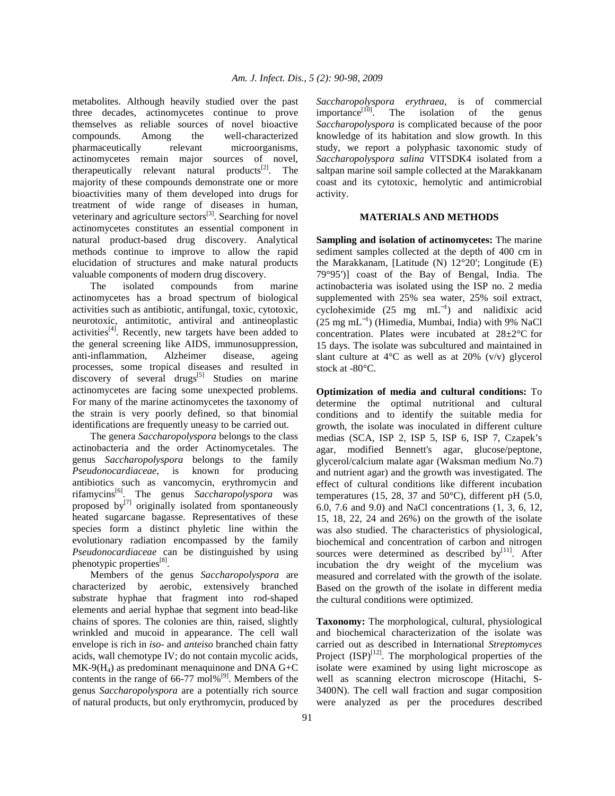metabolites. Although heavily studied over the past three decades, actinomycetes continue to prove themselves as reliable sources of novel bioactive compounds. Among the well-characterized pharmaceutically relevant microorganisms, actinomycetes remain major sources of novel, therapeutically relevant natural products $[2]$ . The majority of these compounds demonstrate one or more bioactivities many of them developed into drugs for treatment of wide range of diseases in human, veterinary and agriculture sectors<sup>[3]</sup>. Searching for novel actinomycetes constitutes an essential component in natural product-based drug discovery. Analytical methods continue to improve to allow the rapid elucidation of structures and make natural products valuable components of modern drug discovery.

 The isolated compounds from marine actinomycetes has a broad spectrum of biological activities such as antibiotic, antifungal, toxic, cytotoxic, neurotoxic, antimitotic, antiviral and antineoplastic activities $^{[4]}$ . Recently, new targets have been added to the general screening like AIDS, immunosuppression, anti-inflammation, Alzheimer disease, ageing processes, some tropical diseases and resulted in discovery of several drugs<sup>[5]</sup> Studies on marine actinomycetes are facing some unexpected problems. For many of the marine actinomycetes the taxonomy of the strain is very poorly defined, so that binomial identifications are frequently uneasy to be carried out.

 The genera *Saccharopolyspora* belongs to the class actinobacteria and the order Actinomycetales. The genus *Saccharopolyspora* belongs to the family *Pseudonocardiaceae*, is known for producing antibiotics such as vancomycin, erythromycin and rifamycins[6]. The genus *Saccharopolyspora* was proposed by $^{[7]}$  originally isolated from spontaneously heated sugarcane bagasse. Representatives of these species form a distinct phyletic line within the evolutionary radiation encompassed by the family *Pseudonocardiaceae* can be distinguished by using phenotypic properties<sup>[8]</sup>.

 Members of the genus *Saccharopolyspora* are characterized by aerobic, extensively branched substrate hyphae that fragment into rod-shaped elements and aerial hyphae that segment into bead-like chains of spores. The colonies are thin, raised, slightly wrinkled and mucoid in appearance. The cell wall envelope is rich in *iso-* and *anteiso* branched chain fatty acids, wall chemotype IV; do not contain mycolic acids,  $MK-9(H<sub>4</sub>)$  as predominant menaquinone and DNA G+C contents in the range of  $66-77$  mol%<sup>[9]</sup>. Members of the genus *Saccharopolyspora* are a potentially rich source of natural products, but only erythromycin, produced by

*Saccharopolyspora erythraea*, is of commercial importance $\begin{bmatrix} 10 \\ 0 \end{bmatrix}$ . The isolation of the genus *Saccharopolyspora* is complicated because of the poor knowledge of its habitation and slow growth. In this study, we report a polyphasic taxonomic study of *Saccharopolyspora salina* VITSDK4 isolated from a saltpan marine soil sample collected at the Marakkanam coast and its cytotoxic, hemolytic and antimicrobial activity.

### **MATERIALS AND METHODS**

**Sampling and isolation of actinomycetes:** The marine sediment samples collected at the depth of 400 cm in the Marakkanam, [Latitude (N) 12°20′; Longitude (E) 79°95′)] coast of the Bay of Bengal, India. The actinobacteria was isolated using the ISP no. 2 media supplemented with 25% sea water, 25% soil extract, cycloheximide  $(25 \text{ mg } \text{mL}^{-1})$  and nalidixic acid (25 mg mL<sup>−</sup><sup>1</sup> ) (Himedia, Mumbai, India) with 9% NaCl concentration. Plates were incubated at 28±2°C for 15 days. The isolate was subcultured and maintained in slant culture at  $4^{\circ}$ C as well as at 20% (v/v) glycerol stock at -80°C.

**Optimization of media and cultural conditions:** To determine the optimal nutritional and cultural conditions and to identify the suitable media for growth, the isolate was inoculated in different culture medias (SCA, ISP 2, ISP 5, ISP 6, ISP 7, Czapek's agar, modified Bennett's agar, glucose/peptone, glycerol/calcium malate agar (Waksman medium No.7) and nutrient agar) and the growth was investigated. The effect of cultural conditions like different incubation temperatures (15, 28, 37 and 50 $^{\circ}$ C), different pH (5.0, 6.0, 7.6 and 9.0) and NaCl concentrations (1, 3, 6, 12, 15, 18, 22, 24 and 26%) on the growth of the isolate was also studied. The characteristics of physiological, biochemical and concentration of carbon and nitrogen sources were determined as described by $^{[11]}$ . After incubation the dry weight of the mycelium was measured and correlated with the growth of the isolate. Based on the growth of the isolate in different media the cultural conditions were optimized.

**Taxonomy:** The morphological, cultural, physiological and biochemical characterization of the isolate was carried out as described in International *Streptomyces* Project  $(ISP)^{[12]}$ . The morphological properties of the isolate were examined by using light microscope as well as scanning electron microscope (Hitachi, S-3400N). The cell wall fraction and sugar composition were analyzed as per the procedures described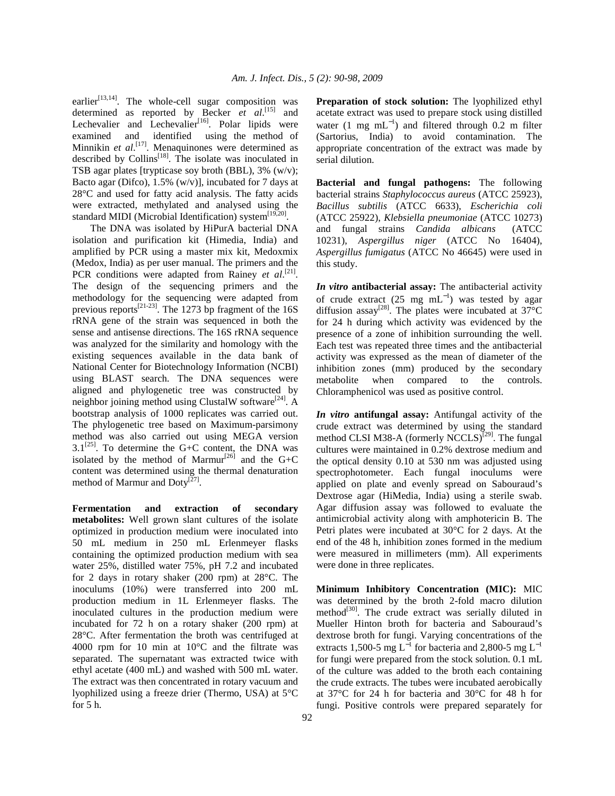earlier<sup>[13,14]</sup>. The whole-cell sugar composition was determined as reported by Becker *et al*. [15] and Lechevalier and Lechevalier<sup>[16]</sup>. Polar lipids were examined and identified using the method of Minnikin *et al.*<sup>[17]</sup>. Menaquinones were determined as described by Collins<sup>[18]</sup>. The isolate was inoculated in TSB agar plates [trypticase soy broth (BBL), 3% (w/v); Bacto agar (Difco),  $1.5\%$  (w/v)], incubated for 7 days at 28°C and used for fatty acid analysis. The fatty acids were extracted, methylated and analysed using the standard MIDI (Microbial Identification) system<sup>[19,20]</sup>.

 The DNA was isolated by HiPurA bacterial DNA isolation and purification kit (Himedia, India) and amplified by PCR using a master mix kit, Medoxmix (Medox, India) as per user manual. The primers and the PCR conditions were adapted from Rainey *et al.*<sup>[21]</sup>. The design of the sequencing primers and the methodology for the sequencing were adapted from previous reports<sup>[21-23]</sup>. The 1273 bp fragment of the 16S rRNA gene of the strain was sequenced in both the sense and antisense directions. The 16S rRNA sequence was analyzed for the similarity and homology with the existing sequences available in the data bank of National Center for Biotechnology Information (NCBI) using BLAST search. The DNA sequences were aligned and phylogenetic tree was constructed by neighbor joining method using ClustalW software<sup>[24]</sup>. A bootstrap analysis of 1000 replicates was carried out. The phylogenetic tree based on Maximum-parsimony method was also carried out using MEGA version  $3.1^{[25]}$ . To determine the G+C content, the DNA was isolated by the method of Marmur<sup>[26]</sup> and the  $G+C$ content was determined using the thermal denaturation method of Marmur and Doty $^{[27]}$ .

**Fermentation and extraction of secondary metabolites:** Well grown slant cultures of the isolate optimized in production medium were inoculated into 50 mL medium in 250 mL Erlenmeyer flasks containing the optimized production medium with sea water 25%, distilled water 75%, pH 7.2 and incubated for 2 days in rotary shaker (200 rpm) at 28°C. The inoculums (10%) were transferred into 200 mL production medium in 1L Erlenmeyer flasks. The inoculated cultures in the production medium were incubated for 72 h on a rotary shaker (200 rpm) at 28°C. After fermentation the broth was centrifuged at 4000 rpm for 10 min at 10°C and the filtrate was separated. The supernatant was extracted twice with ethyl acetate (400 mL) and washed with 500 mL water. The extract was then concentrated in rotary vacuum and lyophilized using a freeze drier (Thermo, USA) at 5°C for 5 h.

**Preparation of stock solution:** The lyophilized ethyl acetate extract was used to prepare stock using distilled water (1 mg mL<sup>-1</sup>) and filtered through 0.2 m filter (Sartorius, India) to avoid contamination. The appropriate concentration of the extract was made by serial dilution.

**Bacterial and fungal pathogens:** The following bacterial strains *Staphylococcus aureus* (ATCC 25923), *Bacillus subtilis* (ATCC 6633), *Escherichia coli* (ATCC 25922), *Klebsiella pneumoniae* (ATCC 10273) and fungal strains *Candida albicans* (ATCC 10231), *Aspergillus niger* (ATCC No 16404), *Aspergillus fumigatus* (ATCC No 46645) were used in this study.

*In vitro* **antibacterial assay:** The antibacterial activity of crude extract  $(25 \text{ mg } \text{mL}^{-1})$  was tested by agar diffusion assay<sup>[28]</sup>. The plates were incubated at  $37^{\circ}$ C for 24 h during which activity was evidenced by the presence of a zone of inhibition surrounding the well. Each test was repeated three times and the antibacterial activity was expressed as the mean of diameter of the inhibition zones (mm) produced by the secondary metabolite when compared to the controls. Chloramphenicol was used as positive control.

*In vitro* **antifungal assay:** Antifungal activity of the crude extract was determined by using the standard method CLSI M38-A (formerly NCCLS)<sup>[29]</sup>. The fungal cultures were maintained in 0.2% dextrose medium and the optical density 0.10 at 530 nm was adjusted using spectrophotometer. Each fungal inoculums were applied on plate and evenly spread on Sabouraud's Dextrose agar (HiMedia, India) using a sterile swab. Agar diffusion assay was followed to evaluate the antimicrobial activity along with amphotericin B. The Petri plates were incubated at 30°C for 2 days. At the end of the 48 h, inhibition zones formed in the medium were measured in millimeters (mm). All experiments were done in three replicates.

**Minimum Inhibitory Concentration (MIC):** MIC was determined by the broth 2-fold macro dilution method<sup>[30]</sup>. The crude extract was serially diluted in Mueller Hinton broth for bacteria and Sabouraud's dextrose broth for fungi. Varying concentrations of the extracts 1,500-5 mg L<sup>-1</sup> for bacteria and 2,800-5 mg L<sup>-1</sup> for fungi were prepared from the stock solution. 0.1 mL of the culture was added to the broth each containing the crude extracts. The tubes were incubated aerobically at 37°C for 24 h for bacteria and 30°C for 48 h for fungi. Positive controls were prepared separately for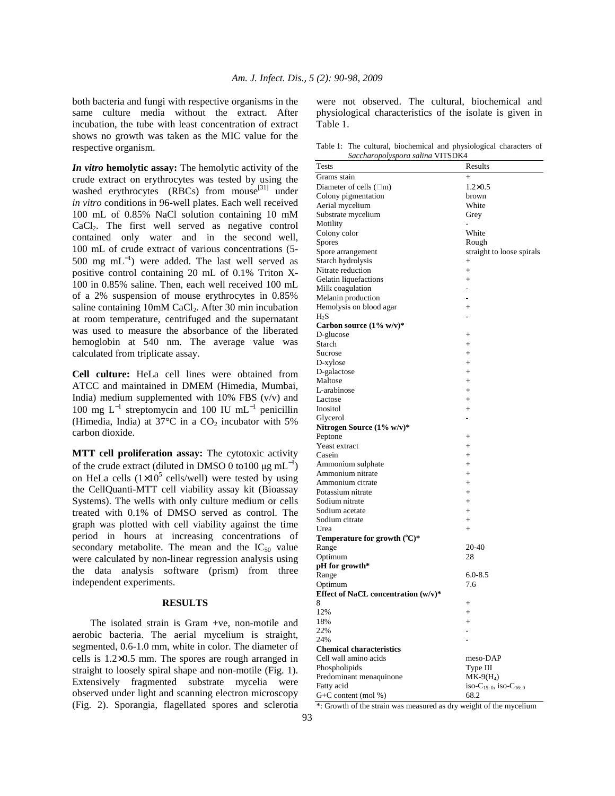both bacteria and fungi with respective organisms in the same culture media without the extract. After incubation, the tube with least concentration of extract shows no growth was taken as the MIC value for the respective organism.

*In vitro* **hemolytic assay:** The hemolytic activity of the crude extract on erythrocytes was tested by using the washed erythrocytes (RBCs) from mouse<sup>[31]</sup> under *in vitro* conditions in 96-well plates. Each well received 100 mL of 0.85% NaCl solution containing 10 mM CaCl<sub>2</sub>. The first well served as negative control contained only water and in the second well, 100 mL of crude extract of various concentrations (5- 500 mg m $L^{-1}$ ) were added. The last well served as positive control containing 20 mL of 0.1% Triton X-100 in 0.85% saline. Then, each well received 100 mL of a 2% suspension of mouse erythrocytes in 0.85% saline containing  $10mM$  CaCl<sub>2</sub>. After 30 min incubation at room temperature, centrifuged and the supernatant was used to measure the absorbance of the liberated hemoglobin at 540 nm. The average value was calculated from triplicate assay.

**Cell culture:** HeLa cell lines were obtained from ATCC and maintained in DMEM (Himedia, Mumbai, India) medium supplemented with  $10\%$  FBS (v/v) and 100 mg L<sup>−</sup><sup>1</sup> streptomycin and 100 IU mL<sup>−</sup><sup>1</sup> penicillin (Himedia, India) at  $37^{\circ}$ C in a CO<sub>2</sub> incubator with 5% carbon dioxide.

**MTT cell proliferation assay:** The cytotoxic activity of the crude extract (diluted in DMSO 0 to100  $\mu$ g mL<sup>-1</sup>) on HeLa cells  $(1\times10^5 \text{ cells/well})$  were tested by using the CellQuanti-MTT cell viability assay kit (Bioassay Systems). The wells with only culture medium or cells treated with 0.1% of DMSO served as control. The graph was plotted with cell viability against the time period in hours at increasing concentrations of secondary metabolite. The mean and the  $IC_{50}$  value were calculated by non-linear regression analysis using the data analysis software (prism) from three independent experiments.

## **RESULTS**

 The isolated strain is Gram +ve, non-motile and aerobic bacteria. The aerial mycelium is straight, segmented, 0.6-1.0 mm, white in color. The diameter of cells is 1.2×0.5 mm. The spores are rough arranged in straight to loosely spiral shape and non-motile (Fig. 1). Extensively fragmented substrate mycelia were observed under light and scanning electron microscopy (Fig. 2). Sporangia, flagellated spores and sclerotia were not observed. The cultural, biochemical and physiological characteristics of the isolate is given in Table 1.

Table 1: The cultural, biochemical and physiological characters of *Saccharopolyspora salina* VITSDK4

| saccharopotyspora sauna v115DK4     |                                                 |
|-------------------------------------|-------------------------------------------------|
| <b>Tests</b>                        | Results                                         |
| Grams stain                         | $+$                                             |
| Diameter of cells $(\Box m)$        | $1.2 \times 0.5$                                |
| Colony pigmentation                 | brown                                           |
| Aerial mycelium                     | White                                           |
| Substrate mycelium                  | Grey                                            |
| Motility                            | $\overline{a}$                                  |
| Colony color                        | White                                           |
| <b>Spores</b>                       | Rough                                           |
| Spore arrangement                   | straight to loose spirals                       |
| Starch hydrolysis                   | $^{+}$                                          |
| Nitrate reduction                   | $+$                                             |
| Gelatin liquefactions               | $+$                                             |
| Milk coagulation                    | ÷.                                              |
| Melanin production                  | ä,                                              |
| Hemolysis on blood agar             | $^{+}$                                          |
| $H_2S$                              |                                                 |
| Carbon source $(1\%$ w/v)*          |                                                 |
| D-glucose                           | $^{+}$                                          |
| Starch                              | $+$                                             |
| Sucrose                             | $+$                                             |
| D-xylose                            | $+$                                             |
| D-galactose                         | $+$                                             |
| Maltose                             | $+$                                             |
| L-arabinose                         | $^{+}$                                          |
| Lactose                             | $^{+}$                                          |
| Inositol                            | $+$                                             |
| Glycerol                            | $\overline{\phantom{0}}$                        |
|                                     |                                                 |
| Nitrogen Source (1% w/v)*           |                                                 |
| Peptone                             | $^{+}$                                          |
| Yeast extract                       | $+$                                             |
| Casein                              | $+$                                             |
| Ammonium sulphate                   | $+$                                             |
| Ammonium nitrate                    | $^{+}$                                          |
| Ammonium citrate                    | $+$                                             |
| Potassium nitrate                   | $+$                                             |
| Sodium nitrate                      | $+$                                             |
| Sodium acetate                      | $+$                                             |
| Sodium citrate                      | $+$                                             |
| Urea                                | $^{+}$                                          |
| Temperature for growth $(C^*)^*$    |                                                 |
| Range                               | 20-40                                           |
| Optimum                             | 28                                              |
| pH for growth*                      |                                                 |
| Range                               | $6.0 - 8.5$                                     |
| Optimum                             | 7.6                                             |
| Effect of NaCL concentration (w/v)* |                                                 |
| 8                                   | $^{+}$                                          |
| 12%                                 | $^{+}$                                          |
| 18%                                 | $+$                                             |
| 22%                                 |                                                 |
| 24%                                 |                                                 |
| <b>Chemical characteristics</b>     |                                                 |
| Cell wall amino acids               | meso-DAP                                        |
| Phospholipids                       | Type III                                        |
| Predominant menaquinone             | $MK-9(H_4)$                                     |
| Fatty acid                          | iso-C <sub>15: 0</sub> , iso-C <sub>16: 0</sub> |
| $G+C$ content (mol %)               | 68.2                                            |

\*: Growth of the strain was measured as dry weight of the mycelium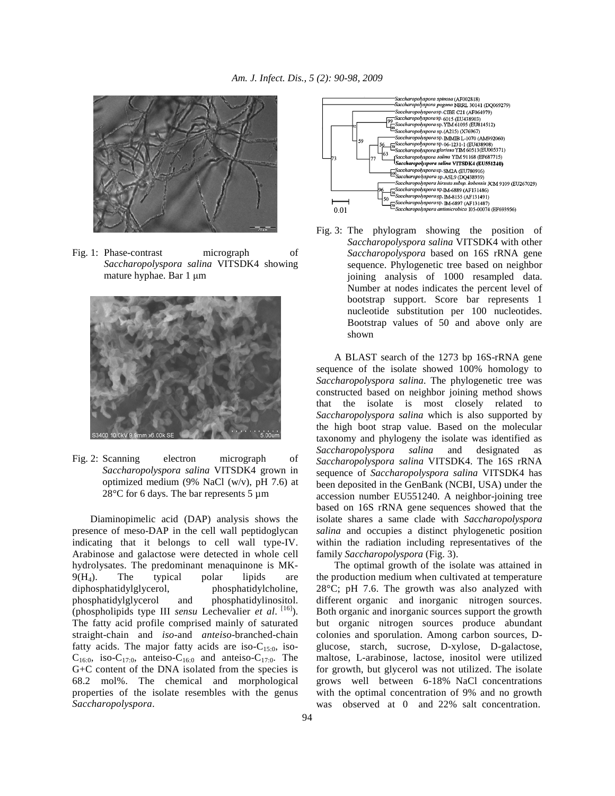

Fig. 1: Phase-contrast micrograph of *Saccharopolyspora salina* VITSDK4 showing mature hyphae. Bar 1  $\mu$ m



Fig. 2: Scanning electron micrograph of *Saccharopolyspora salina* VITSDK4 grown in optimized medium (9% NaCl (w/v), pH 7.6) at  $28^{\circ}$ C for 6 days. The bar represents 5 µm

 Diaminopimelic acid (DAP) analysis shows the presence of meso-DAP in the cell wall peptidoglycan indicating that it belongs to cell wall type-IV. Arabinose and galactose were detected in whole cell hydrolysates. The predominant menaquinone is MK- $9(H_4)$ . The typical polar lipids are diphosphatidylglycerol, phosphatidylcholine, phosphatidylglycerol and phosphatidylinositol. (phospholipids type III *sensu* Lechevalier *et al*. [16]). The fatty acid profile comprised mainly of saturated straight-chain and *iso*-and *anteiso*-branched-chain fatty acids. The major fatty acids are iso- $C_{15:0}$ , iso- $C_{16:0}$ , iso-C<sub>17:0</sub>, anteiso-C<sub>16:0</sub> and anteiso-C<sub>17:0</sub>. The G+C content of the DNA isolated from the species is 68.2 mol%. The chemical and morphological properties of the isolate resembles with the genus *Saccharopolyspora*.



Fig. 3: The phylogram showing the position of *Saccharopolyspora salina* VITSDK4 with other *Saccharopolyspora* based on 16S rRNA gene sequence. Phylogenetic tree based on neighbor joining analysis of 1000 resampled data. Number at nodes indicates the percent level of bootstrap support. Score bar represents 1 nucleotide substitution per 100 nucleotides. Bootstrap values of 50 and above only are shown

 A BLAST search of the 1273 bp 16S-rRNA gene sequence of the isolate showed 100% homology to *Saccharopolyspora salina*. The phylogenetic tree was constructed based on neighbor joining method shows that the isolate is most closely related to *Saccharopolyspora salina* which is also supported by the high boot strap value. Based on the molecular taxonomy and phylogeny the isolate was identified as *Saccharopolyspora salina* and designated as *Saccharopolyspora salina* VITSDK4. The 16S rRNA sequence of *Saccharopolyspora salina* VITSDK4 has been deposited in the GenBank (NCBI, USA) under the accession number EU551240. A neighbor-joining tree based on 16S rRNA gene sequences showed that the isolate shares a same clade with *Saccharopolyspora salina* and occupies a distinct phylogenetic position within the radiation including representatives of the family *Saccharopolyspora* (Fig. 3).

 The optimal growth of the isolate was attained in the production medium when cultivated at temperature 28°C; pH 7.6. The growth was also analyzed with different organic and inorganic nitrogen sources. Both organic and inorganic sources support the growth but organic nitrogen sources produce abundant colonies and sporulation. Among carbon sources, Dglucose, starch, sucrose, D-xylose, D-galactose, maltose, L-arabinose, lactose, inositol were utilized for growth, but glycerol was not utilized. The isolate grows well between 6-18% NaCl concentrations with the optimal concentration of 9% and no growth was observed at 0 and 22% salt concentration.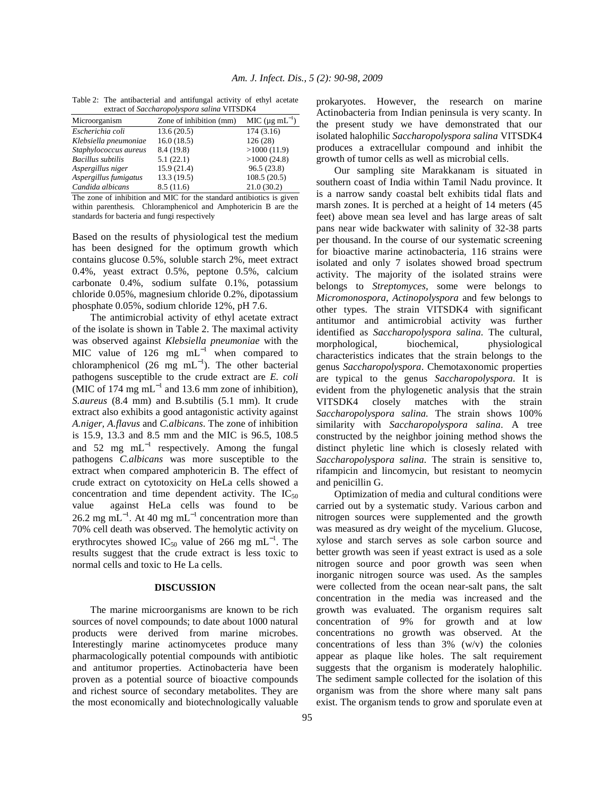Table 2: The antibacterial and antifungal activity of ethyl acetate extract of *Saccharopolyspora salina* VITSDK4

| <b>CAU act of Succhardpolyspora sauna VIISDN+</b> |                         |                                  |  |
|---------------------------------------------------|-------------------------|----------------------------------|--|
| Microorganism                                     | Zone of inhibition (mm) | MIC ( $\mu$ g mL <sup>-1</sup> ) |  |
| Escherichia coli                                  | 13.6(20.5)              | 174(3.16)                        |  |
| Klebsiella pneumoniae                             | 16.0(18.5)              | 126(28)                          |  |
| Staphylococcus aureus                             | 8.4 (19.8)              | >1000(11.9)                      |  |
| <b>Bacillus</b> subtilis                          | 5.1(22.1)               | >1000(24.8)                      |  |
| Aspergillus niger                                 | 15.9(21.4)              | 96.5(23.8)                       |  |
| Aspergillus fumigatus                             | 13.3 (19.5)             | 108.5(20.5)                      |  |
| Candida albicans                                  | 8.5(11.6)               | 21.0(30.2)                       |  |

The zone of inhibition and MIC for the standard antibiotics is given within parenthesis. Chloramphenicol and Amphotericin B are the standards for bacteria and fungi respectively

Based on the results of physiological test the medium has been designed for the optimum growth which contains glucose 0.5%, soluble starch 2%, meet extract 0.4%, yeast extract 0.5%, peptone 0.5%, calcium carbonate 0.4%, sodium sulfate 0.1%, potassium chloride 0.05%, magnesium chloride 0.2%, dipotassium phosphate 0.05%, sodium chloride 12%, pH 7.6.

 The antimicrobial activity of ethyl acetate extract of the isolate is shown in Table 2. The maximal activity was observed against *Klebsiella pneumoniae* with the MIC value of 126 mg  $mL^{-1}$  when compared to chloramphenicol (26 mg mL<sup>-1</sup>). The other bacterial pathogens susceptible to the crude extract are *E. coli* (MIC of 174 mg mL<sup>-1</sup> and 13.6 mm zone of inhibition), *S.aureus* (8.4 mm) and B.subtilis (5.1 mm). It crude extract also exhibits a good antagonistic activity against *A.niger, A.flavus* and *C.albicans*. The zone of inhibition is 15.9, 13.3 and 8.5 mm and the MIC is 96.5, 108.5 and 52 mg  $mL^{-1}$  respectively. Among the fungal pathogens *C.albicans* was more susceptible to the extract when compared amphotericin B. The effect of crude extract on cytotoxicity on HeLa cells showed a concentration and time dependent activity. The  $IC_{50}$ value against HeLa cells was found to be 26.2 mg mL<sup>-1</sup>. At 40 mg mL<sup>-1</sup> concentration more than 70% cell death was observed. The hemolytic activity on erythrocytes showed IC<sub>50</sub> value of 266 mg mL<sup>-1</sup>. The results suggest that the crude extract is less toxic to normal cells and toxic to He La cells.

#### **DISCUSSION**

 The marine microorganisms are known to be rich sources of novel compounds; to date about 1000 natural products were derived from marine microbes. Interestingly marine actinomycetes produce many pharmacologically potential compounds with antibiotic and antitumor properties. Actinobacteria have been proven as a potential source of bioactive compounds and richest source of secondary metabolites. They are the most economically and biotechnologically valuable prokaryotes. However, the research on marine Actinobacteria from Indian peninsula is very scanty. In the present study we have demonstrated that our isolated halophilic *Saccharopolyspora salina* VITSDK4 produces a extracellular compound and inhibit the growth of tumor cells as well as microbial cells.

 Our sampling site Marakkanam is situated in southern coast of India within Tamil Nadu province. It is a narrow sandy coastal belt exhibits tidal flats and marsh zones. It is perched at a height of 14 meters (45 feet) above mean sea level and has large areas of salt pans near wide backwater with salinity of 32-38 parts per thousand. In the course of our systematic screening for bioactive marine actinobacteria, 116 strains were isolated and only 7 isolates showed broad spectrum activity. The majority of the isolated strains were belongs to *Streptomyces,* some were belongs to *Micromonospora*, *Actinopolyspora* and few belongs to other types. The strain VITSDK4 with significant antitumor and antimicrobial activity was further identified as *Saccharopolyspora salina.* The cultural, morphological, biochemical, physiological characteristics indicates that the strain belongs to the genus *Saccharopolyspora*. Chemotaxonomic properties are typical to the genus *Saccharopolyspora.* It is evident from the phylogenetic analysis that the strain VITSDK4 closely matches with the strain *Saccharopolyspora salina.* The strain shows 100% similarity with *Saccharopolyspora salina*. A tree constructed by the neighbor joining method shows the distinct phyletic line which is closesly related with *Saccharopolyspora salina.* The strain is sensitive to, rifampicin and lincomycin, but resistant to neomycin and penicillin G.

 Optimization of media and cultural conditions were carried out by a systematic study. Various carbon and nitrogen sources were supplemented and the growth was measured as dry weight of the mycelium. Glucose, xylose and starch serves as sole carbon source and better growth was seen if yeast extract is used as a sole nitrogen source and poor growth was seen when inorganic nitrogen source was used. As the samples were collected from the ocean near-salt pans, the salt concentration in the media was increased and the growth was evaluated. The organism requires salt concentration of 9% for growth and at low concentrations no growth was observed. At the concentrations of less than  $3\%$  (w/v) the colonies appear as plaque like holes. The salt requirement suggests that the organism is moderately halophilic. The sediment sample collected for the isolation of this organism was from the shore where many salt pans exist. The organism tends to grow and sporulate even at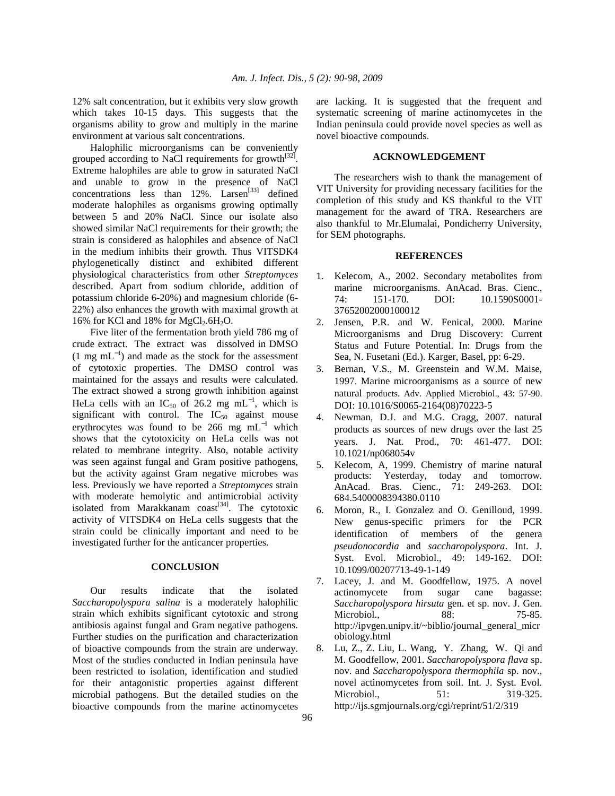12% salt concentration, but it exhibits very slow growth which takes 10-15 days. This suggests that the organisms ability to grow and multiply in the marine environment at various salt concentrations.

 Halophilic microorganisms can be conveniently grouped according to NaCl requirements for growth $^{[32]}$ . Extreme halophiles are able to grow in saturated NaCl and unable to grow in the presence of NaCl concentrations less than  $12\%$ . Larsen<sup>[33]</sup> defined moderate halophiles as organisms growing optimally between 5 and 20% NaCl. Since our isolate also showed similar NaCl requirements for their growth; the strain is considered as halophiles and absence of NaCl in the medium inhibits their growth. Thus VITSDK4 phylogenetically distinct and exhibited different physiological characteristics from other *Streptomyces*  described. Apart from sodium chloride, addition of potassium chloride 6-20%) and magnesium chloride (6- 22%) also enhances the growth with maximal growth at 16% for KCl and 18% for  $MgCl<sub>2</sub>.6H<sub>2</sub>O$ .

 Five liter of the fermentation broth yield 786 mg of crude extract. The extract was dissolved in DMSO  $(1 \text{ mg } \text{mL}^{-1})$  and made as the stock for the assessment of cytotoxic properties. The DMSO control was maintained for the assays and results were calculated. The extract showed a strong growth inhibition against HeLa cells with an IC<sub>50</sub> of 26.2 mg mL<sup>-1</sup>, which is significant with control. The  $IC_{50}$  against mouse erythrocytes was found to be 266 mg  $mL^{-1}$  which shows that the cytotoxicity on HeLa cells was not related to membrane integrity. Also, notable activity was seen against fungal and Gram positive pathogens, but the activity against Gram negative microbes was less. Previously we have reported a *Streptomyces* strain with moderate hemolytic and antimicrobial activity isolated from Marakkanam  $\text{const}^{[34]}$ . The cytotoxic activity of VITSDK4 on HeLa cells suggests that the strain could be clinically important and need to be investigated further for the anticancer properties.

#### **CONCLUSION**

 Our results indicate that the isolated *Saccharopolyspora salina* is a moderately halophilic strain which exhibits significant cytotoxic and strong antibiosis against fungal and Gram negative pathogens. Further studies on the purification and characterization of bioactive compounds from the strain are underway. Most of the studies conducted in Indian peninsula have been restricted to isolation, identification and studied for their antagonistic properties against different microbial pathogens. But the detailed studies on the bioactive compounds from the marine actinomycetes

are lacking. It is suggested that the frequent and systematic screening of marine actinomycetes in the Indian peninsula could provide novel species as well as novel bioactive compounds.

#### **ACKNOWLEDGEMENT**

 The researchers wish to thank the management of VIT University for providing necessary facilities for the completion of this study and KS thankful to the VIT management for the award of TRA. Researchers are also thankful to Mr.Elumalai, Pondicherry University, for SEM photographs.

## **REFERENCES**

- 1. Kelecom, A., 2002. Secondary metabolites from marine microorganisms. AnAcad. Bras. Cienc., 74: 151-170. DOI: 10.1590S0001- 37652002000100012
- 2. Jensen, P.R. and W. Fenical, 2000. Marine Microorganisms and Drug Discovery: Current Status and Future Potential. In: Drugs from the Sea, N. Fusetani (Ed.). Karger, Basel, pp: 6-29.
- 3. Bernan, V.S., M. Greenstein and W.M. Maise, 1997. Marine microorganisms as a source of new natural products. Adv. Applied Microbiol., 43: 57-90. DOI: 10.1016/S0065-2164(08)70223-5
- 4. Newman, D.J. and M.G. Cragg, 2007. natural products as sources of new drugs over the last 25 years. J. Nat. Prod., 70: 461-477. DOI: 10.1021/np068054v
- 5. Kelecom, A, 1999. Chemistry of marine natural products: Yesterday, today and tomorrow. AnAcad. Bras. Cienc., 71: 249-263. DOI: 684.5400008394380.0110
- 6. Moron, R., I. Gonzalez and O. Genilloud, 1999. New genus-specific primers for the PCR identification of members of the genera *pseudonocardia* and *saccharopolyspora*. Int. J. Syst. Evol. Microbiol., 49: 149-162. DOI: 10.1099/00207713-49-1-149
- 7. Lacey, J. and M. Goodfellow, 1975. A novel actinomycete from sugar cane bagasse: *Saccharopolyspora hirsuta* gen. et sp. nov. J. Gen. Microbiol., 88: 75-85. http://ipvgen.unipv.it/~biblio/journal\_general\_micr obiology.html
- 8. Lu, Z., Z. Liu, L. Wang, Y. Zhang, W. Qi and M. Goodfellow, 2001. *Saccharopolyspora flava* sp. nov. and *Saccharopolyspora thermophila* sp. nov., novel actinomycetes from soil. Int. J. Syst. Evol. Microbiol., 51: 319-325. http://ijs.sgmjournals.org/cgi/reprint/51/2/319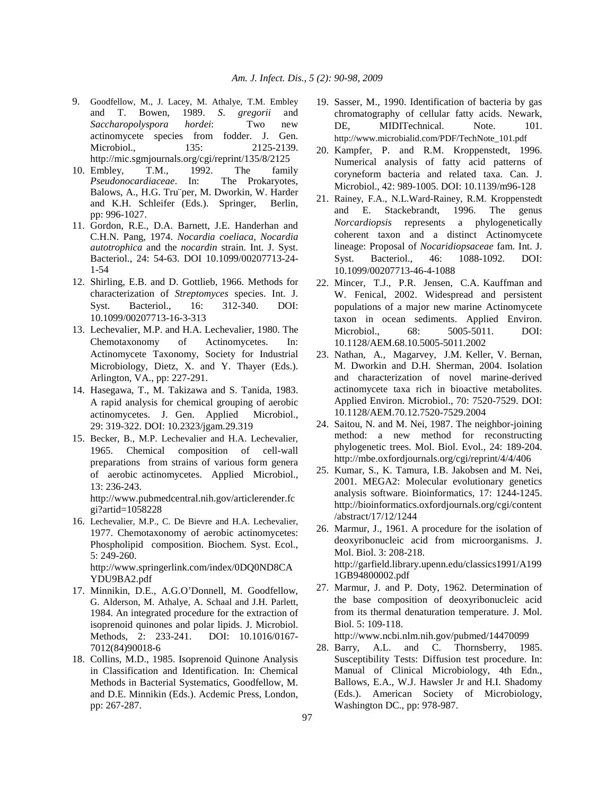- 9. Goodfellow, M., J. Lacey, M. Athalye, T.M. Embley and T. Bowen, 1989. *S*. *gregorii* and *Saccharopolyspora hordei*: Two new actinomycete species from fodder. J. Gen. Microbiol., 135: 2125-2139. http://mic.sgmjournals.org/cgi/reprint/135/8/2125
- 10. Embley, T.M., 1992. The family<br>*Pseudonocardiaceae*. In: The Prokaryotes, *Pseudonocardiaceae*. In: Balows, A., H.G. Tru¨per, M. Dworkin, W. Harder and K.H. Schleifer (Eds.). Springer, Berlin, pp: 996-1027.
- 11. Gordon, R.E., D.A. Barnett, J.E. Handerhan and C.H.N. Pang, 1974. *Nocardia coeliaca, Nocardia autotrophica* and the *nocardin* strain. Int. J. Syst. Bacteriol., 24: 54-63. DOI 10.1099/00207713-24- 1-54
- 12. Shirling, E.B. and D. Gottlieb, 1966. Methods for characterization of *Streptomyces* species. Int. J. Syst. Bacteriol., 16: 312-340. DOI: 10.1099/00207713-16-3-313
- 13. Lechevalier, M.P. and H.A. Lechevalier, 1980. The Chemotaxonomy of Actinomycetes. In: Actinomycete Taxonomy, Society for Industrial Microbiology, Dietz, X. and Y. Thayer (Eds.). Arlington, VA., pp: 227-291.
- 14. Hasegawa, T., M. Takizawa and S. Tanida, 1983. A rapid analysis for chemical grouping of aerobic actinomycetes. J. Gen. Applied Microbiol., 29: 319-322. DOI: 10.2323/jgam.29.319
- 15. Becker, B., M.P. Lechevalier and H.A. Lechevalier, 1965. Chemical composition of cell-wall preparations from strains of various form genera of aerobic actinomycetes. Applied Microbiol., 13: 236-243. http://www.pubmedcentral.nih.gov/articlerender.fc

gi?artid=1058228

- 16. Lechevalier, M.P., C. De Bievre and H.A. Lechevalier, 1977. Chemotaxonomy of aerobic actinomycetes: Phospholipid composition. Biochem. Syst. Ecol., 5: 249-260. http://www.springerlink.com/index/0DQ0ND8CA YDU9BA2.pdf
- 17. Minnikin, D.E., A.G.O'Donnell, M. Goodfellow, G. Alderson, M. Athalye, A. Schaal and J.H. Parlett, 1984. An integrated procedure for the extraction of isoprenoid quinones and polar lipids. J. Microbiol. Methods, 2: 233-241. DOI: 10.1016/0167- 7012(84)90018-6
- 18. Collins, M.D., 1985. Isoprenoid Quinone Analysis in Classification and Identification. In: Chemical Methods in Bacterial Systematics, Goodfellow, M. and D.E. Minnikin (Eds.). Acdemic Press, London, pp: 267-287.
- 19. Sasser, M., 1990. Identification of bacteria by gas chromatography of cellular fatty acids. Newark, DE, MIDITechnical. Note. 101. http://www.microbialid.com/PDF/TechNote\_101.pdf
- 20. Kampfer, P. and R.M. Kroppenstedt, 1996. Numerical analysis of fatty acid patterns of coryneform bacteria and related taxa. Can. J. Microbiol., 42: 989-1005. DOI: 10.1139/m96-128
- 21. Rainey, F.A., N.L.Ward-Rainey, R.M. Kroppenstedt and E. Stackebrandt, 1996. The genus *Norcardiopsis* represents a phylogenetically coherent taxon and a distinct Actinomycete lineage: Proposal of *Nocaridiopsaceae* fam. Int. J. Syst. Bacteriol., 46: 1088-1092. DOI: 10.1099/00207713-46-4-1088
- 22. Mincer, T.J., P.R. Jensen, C.A. Kauffman and W. Fenical, 2002. Widespread and persistent populations of a major new marine Actinomycete taxon in ocean sediments. Applied Environ. Microbiol., 68: 5005-5011. DOI: 10.1128/AEM.68.10.5005-5011.2002
- 23. Nathan, A., Magarvey, J.M. Keller, V. Bernan, M. Dworkin and D.H. Sherman, 2004. Isolation and characterization of novel marine-derived actinomycete taxa rich in bioactive metabolites. Applied Environ. Microbiol., 70: 7520-7529. DOI: 10.1128/AEM.70.12.7520-7529.2004
- 24. Saitou, N. and M. Nei, 1987. The neighbor-joining method: a new method for reconstructing phylogenetic trees. Mol. Biol. Evol., 24: 189-204. http://mbe.oxfordjournals.org/cgi/reprint/4/4/406
- 25. Kumar, S., K. Tamura, I.B. Jakobsen and M. Nei, 2001. MEGA2: Molecular evolutionary genetics analysis software. Bioinformatics, 17: 1244-1245. http://bioinformatics.oxfordjournals.org/cgi/content /abstract/17/12/1244
- 26. Marmur, J., 1961. A procedure for the isolation of deoxyribonucleic acid from microorganisms. J. Mol. Biol. 3: 208-218. http://garfield.library.upenn.edu/classics1991/A199 1GB94800002.pdf
- 27. Marmur, J. and P. Doty, 1962. Determination of the base composition of deoxyribonucleic acid from its thermal denaturation temperature. J. Mol. Biol. 5: 109-118.

http://www.ncbi.nlm.nih.gov/pubmed/14470099

28. Barry, A.L. and C. Thornsberry, 1985. Susceptibility Tests: Diffusion test procedure. In: Manual of Clinical Microbiology, 4th Edn., Ballows, E.A., W.J. Hawsler Jr and H.I. Shadomy (Eds.). American Society of Microbiology, Washington DC., pp: 978-987.